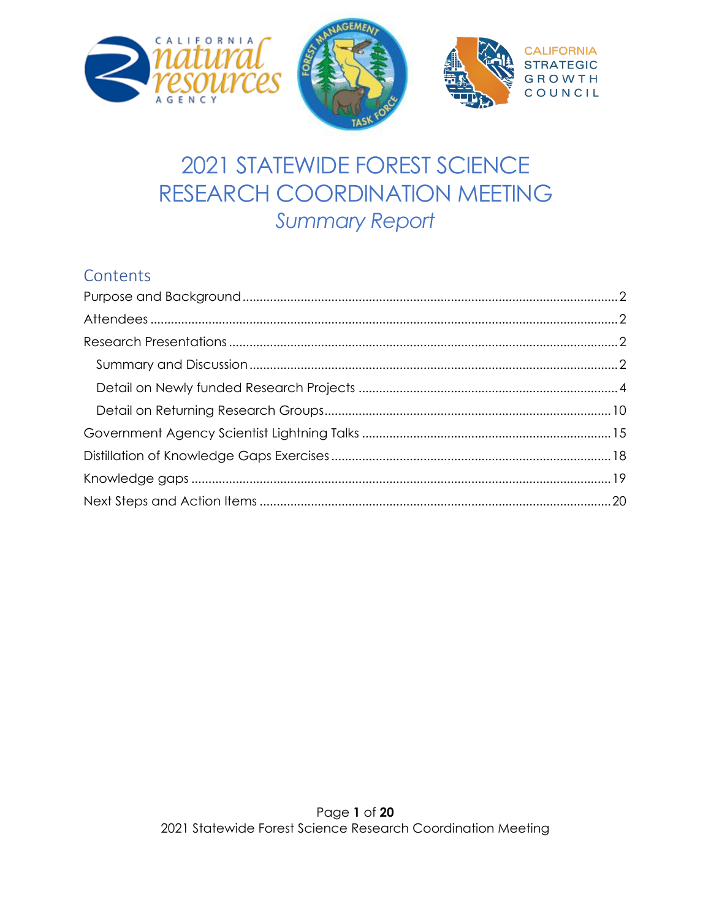





# 2021 STATEWIDE FOREST SCIENCE RESEARCH COORDINATION MEETING **Summary Report**

# Contents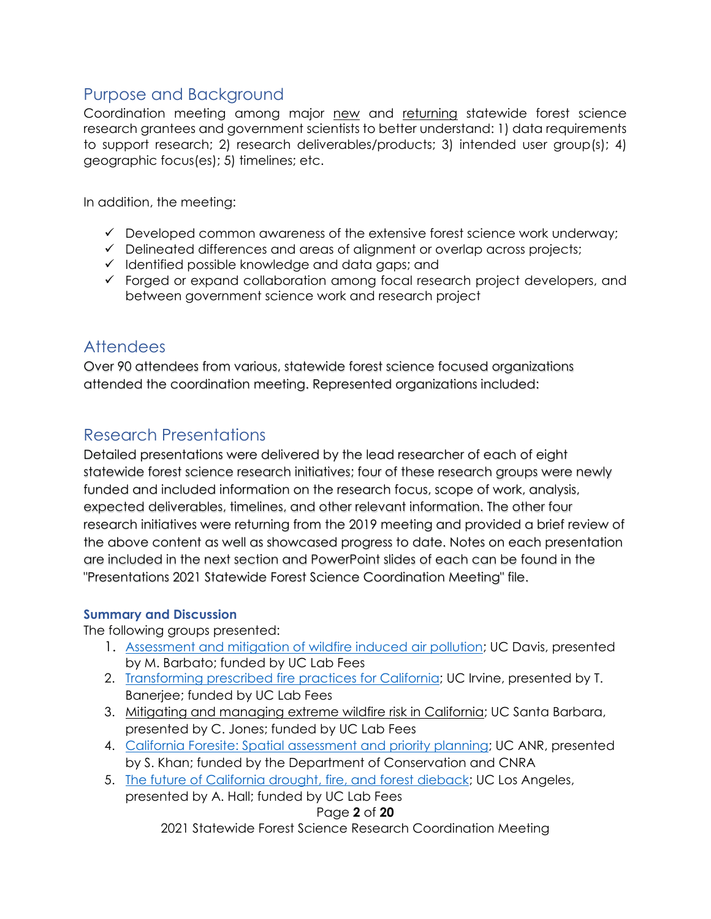# <span id="page-1-0"></span>Purpose and Background

Coordination meeting among major new and returning statewide forest science research grantees and government scientists to better understand: 1) data requirements to support research; 2) research deliverables/products; 3) intended user group(s); 4) geographic focus(es); 5) timelines; etc.

In addition, the meeting:

- $\checkmark$  Developed common awareness of the extensive forest science work underway;
- ✓ Delineated differences and areas of alignment or overlap across projects;
- ✓ Identified possible knowledge and data gaps; and
- ✓ Forged or expand collaboration among focal research project developers, and between government science work and research project

# <span id="page-1-1"></span>Attendees

Over 90 attendees from various, statewide forest science focused organizations attended the coordination meeting. Represented organizations included:

# <span id="page-1-2"></span>Research Presentations

Detailed presentations were delivered by the lead researcher of each of eight statewide forest science research initiatives; four of these research groups were newly funded and included information on the research focus, scope of work, analysis, expected deliverables, timelines, and other relevant information. The other four research initiatives were returning from the 2019 meeting and provided a brief review of the above content as well as showcased progress to date. Notes on each presentation are included in the next section and PowerPoint slides of each can be found in the "Presentations 2021 Statewide Forest Science Coordination Meeting" file.

#### <span id="page-1-3"></span>**Summary and Discussion**

The following groups presented:

- 1. [Assessment and mitigation of wildfire induced air pollution;](https://climateadaptation.ucdavis.edu/assessment-and-mitigation-wildfire-induced-air-pollution) UC Davis, presented by M. Barbato; funded by UC Lab Fees
- 2. [Transforming prescribed fire practices for California;](https://sites.uci.edu/sparxcal/) UC Irvine, presented by T. Banerjee; funded by UC Lab Fees
- 3. Mitigating and managing extreme wildfire risk in California; UC Santa Barbara, presented by C. Jones; funded by UC Lab Fees
- 4. [California Foresite: Spatial assessment and priority planning;](https://resources.ca.gov/-/media/CNRA-Website/Files/Initiatives/Forest-Stewardship/3020-300-AB-2551-Spatial-Analysis-and-Priority-Planning.pdf?la=en&hash=EBE166BC9A0A48D51D4053041AF57FC56CDC2A96) UC ANR, presented by S. Khan; funded by the Department of Conservation and CNRA
- Page **2** of **20** 5. [The future of California drought, fire, and forest dieback;](https://www.ioes.ucla.edu/project/future-california-drought-fire-forest-dieback/) UC Los Angeles, presented by A. Hall; funded by UC Lab Fees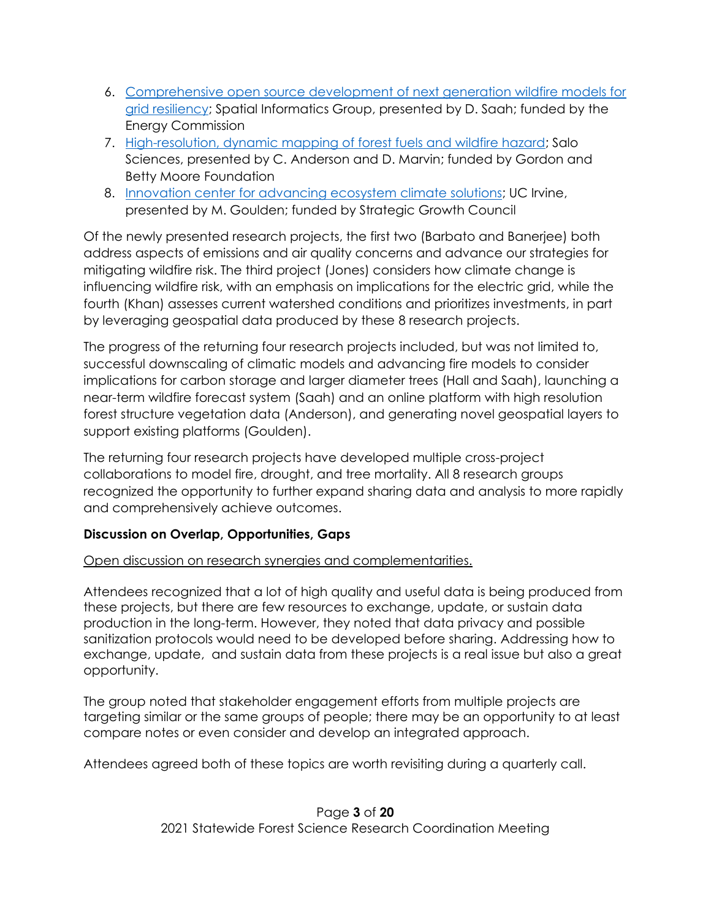- 6. [Comprehensive open source development of next generation wildfire models for](https://pyregence.org/)  [grid resiliency;](https://pyregence.org/) Spatial Informatics Group, presented by D. Saah; funded by the Energy Commission
- 7. [High-resolution, dynamic mapping of forest fuels and wildfire hazard;](https://salo.ai/) Salo Sciences, presented by C. Anderson and D. Marvin; funded by Gordon and Betty Moore Foundation
- 8. [Innovation center for advancing ecosystem climate solutions;](https://california-ecosystem-climate.solutions/) UC Irvine, presented by M. Goulden; funded by Strategic Growth Council

Of the newly presented research projects, the first two (Barbato and Banerjee) both address aspects of emissions and air quality concerns and advance our strategies for mitigating wildfire risk. The third project (Jones) considers how climate change is influencing wildfire risk, with an emphasis on implications for the electric grid, while the fourth (Khan) assesses current watershed conditions and prioritizes investments, in part by leveraging geospatial data produced by these 8 research projects.

The progress of the returning four research projects included, but was not limited to, successful downscaling of climatic models and advancing fire models to consider implications for carbon storage and larger diameter trees (Hall and Saah), launching a near-term wildfire forecast system (Saah) and an online platform with high resolution forest structure vegetation data (Anderson), and generating novel geospatial layers to support existing platforms (Goulden).

The returning four research projects have developed multiple cross-project collaborations to model fire, drought, and tree mortality. All 8 research groups recognized the opportunity to further expand sharing data and analysis to more rapidly and comprehensively achieve outcomes.

# **Discussion on Overlap, Opportunities, Gaps**

#### Open discussion on research synergies and complementarities.

Attendees recognized that a lot of high quality and useful data is being produced from these projects, but there are few resources to exchange, update, or sustain data production in the long-term. However, they noted that data privacy and possible sanitization protocols would need to be developed before sharing. Addressing how to exchange, update, and sustain data from these projects is a real issue but also a great opportunity.

The group noted that stakeholder engagement efforts from multiple projects are targeting similar or the same groups of people; there may be an opportunity to at least compare notes or even consider and develop an integrated approach.

Attendees agreed both of these topics are worth revisiting during a quarterly call.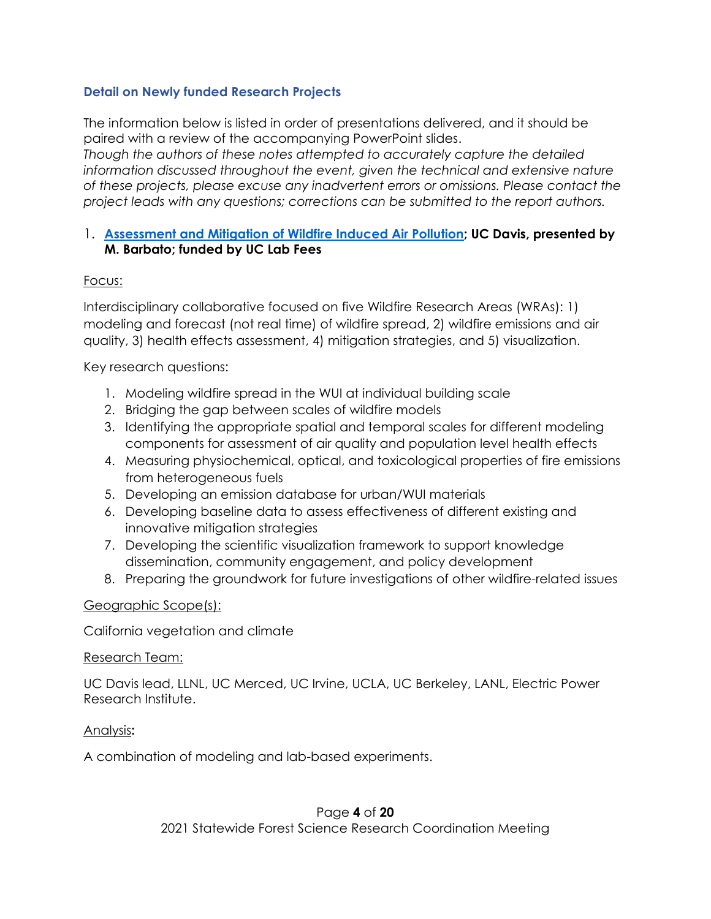#### <span id="page-3-0"></span>**Detail on Newly funded Research Projects**

The information below is listed in order of presentations delivered, and it should be paired with a review of the accompanying PowerPoint slides. *Though the authors of these notes attempted to accurately capture the detailed information discussed throughout the event, given the technical and extensive nature of these projects, please excuse any inadvertent errors or omissions. Please contact the project leads with any questions; corrections can be submitted to the report authors.*

#### 1. **[Assessment and Mitigation of Wildfire Induced Air Pollution;](https://climateadaptation.ucdavis.edu/) UC Davis, presented by M. Barbato; funded by UC Lab Fees**

#### Focus:

Interdisciplinary collaborative focused on five Wildfire Research Areas (WRAs): 1) modeling and forecast (not real time) of wildfire spread, 2) wildfire emissions and air quality, 3) health effects assessment, 4) mitigation strategies, and 5) visualization.

Key research questions:

- 1. Modeling wildfire spread in the WUI at individual building scale
- 2. Bridging the gap between scales of wildfire models
- 3. Identifying the appropriate spatial and temporal scales for different modeling components for assessment of air quality and population level health effects
- 4. Measuring physiochemical, optical, and toxicological properties of fire emissions from heterogeneous fuels
- 5. Developing an emission database for urban/WUI materials
- 6. Developing baseline data to assess effectiveness of different existing and innovative mitigation strategies
- 7. Developing the scientific visualization framework to support knowledge dissemination, community engagement, and policy development
- 8. Preparing the groundwork for future investigations of other wildfire-related issues

#### Geographic Scope(s):

California vegetation and climate

#### Research Team:

UC Davis lead, LLNL, UC Merced, UC Irvine, UCLA, UC Berkeley, LANL, Electric Power Research Institute.

#### Analysis**:**

A combination of modeling and lab-based experiments.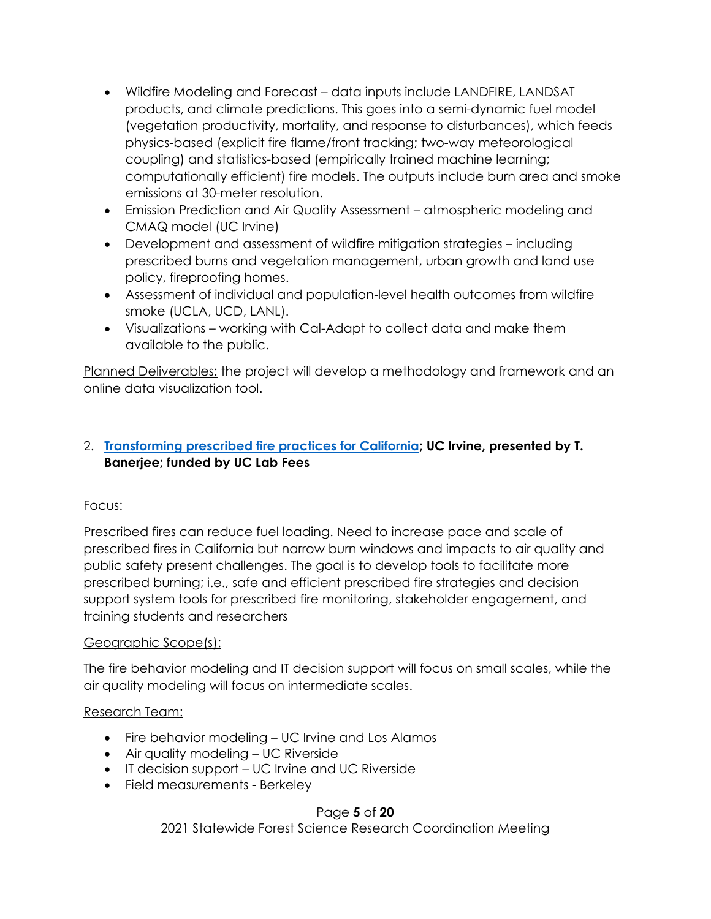- Wildfire Modeling and Forecast data inputs include LANDFIRE, LANDSAT products, and climate predictions. This goes into a semi-dynamic fuel model (vegetation productivity, mortality, and response to disturbances), which feeds physics-based (explicit fire flame/front tracking; two-way meteorological coupling) and statistics-based (empirically trained machine learning; computationally efficient) fire models. The outputs include burn area and smoke emissions at 30-meter resolution.
- Emission Prediction and Air Quality Assessment atmospheric modeling and CMAQ model (UC Irvine)
- Development and assessment of wildfire mitigation strategies including prescribed burns and vegetation management, urban growth and land use policy, fireproofing homes.
- Assessment of individual and population-level health outcomes from wildfire smoke (UCLA, UCD, LANL).
- Visualizations working with Cal-Adapt to collect data and make them available to the public.

Planned Deliverables: the project will develop a methodology and framework and an online data visualization tool.

# 2. **[Transforming prescribed fire practices for California;](https://sites.uci.edu/sparxcal/) UC Irvine, presented by T. Banerjee; funded by UC Lab Fees**

# Focus:

Prescribed fires can reduce fuel loading. Need to increase pace and scale of prescribed fires in California but narrow burn windows and impacts to air quality and public safety present challenges. The goal is to develop tools to facilitate more prescribed burning; i.e., safe and efficient prescribed fire strategies and decision support system tools for prescribed fire monitoring, stakeholder engagement, and training students and researchers

# Geographic Scope(s):

The fire behavior modeling and IT decision support will focus on small scales, while the air quality modeling will focus on intermediate scales.

#### Research Team:

- Fire behavior modeling UC Irvine and Los Alamos
- Air quality modeling UC Riverside
- IT decision support UC Irvine and UC Riverside
- Field measurements Berkeley

#### Page **5** of **20**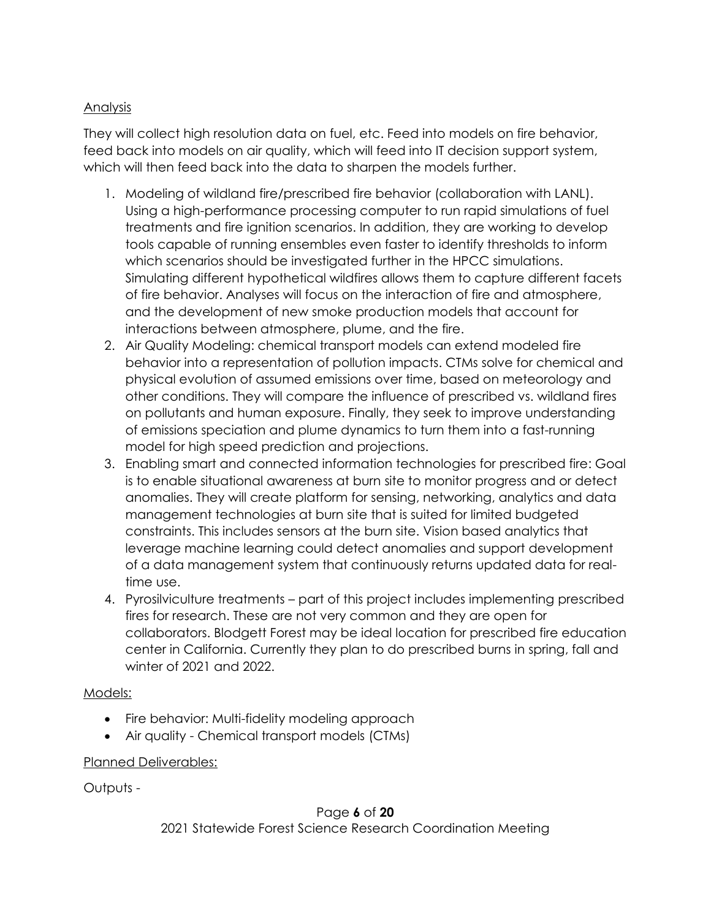# Analysis

They will collect high resolution data on fuel, etc. Feed into models on fire behavior, feed back into models on air quality, which will feed into IT decision support system, which will then feed back into the data to sharpen the models further.

- 1. Modeling of wildland fire/prescribed fire behavior (collaboration with LANL). Using a high-performance processing computer to run rapid simulations of fuel treatments and fire ignition scenarios. In addition, they are working to develop tools capable of running ensembles even faster to identify thresholds to inform which scenarios should be investigated further in the HPCC simulations. Simulating different hypothetical wildfires allows them to capture different facets of fire behavior. Analyses will focus on the interaction of fire and atmosphere, and the development of new smoke production models that account for interactions between atmosphere, plume, and the fire.
- 2. Air Quality Modeling: chemical transport models can extend modeled fire behavior into a representation of pollution impacts. CTMs solve for chemical and physical evolution of assumed emissions over time, based on meteorology and other conditions. They will compare the influence of prescribed vs. wildland fires on pollutants and human exposure. Finally, they seek to improve understanding of emissions speciation and plume dynamics to turn them into a fast-running model for high speed prediction and projections.
- 3. Enabling smart and connected information technologies for prescribed fire: Goal is to enable situational awareness at burn site to monitor progress and or detect anomalies. They will create platform for sensing, networking, analytics and data management technologies at burn site that is suited for limited budgeted constraints. This includes sensors at the burn site. Vision based analytics that leverage machine learning could detect anomalies and support development of a data management system that continuously returns updated data for realtime use.
- 4. Pyrosilviculture treatments part of this project includes implementing prescribed fires for research. These are not very common and they are open for collaborators. Blodgett Forest may be ideal location for prescribed fire education center in California. Currently they plan to do prescribed burns in spring, fall and winter of 2021 and 2022.

#### Models:

- Fire behavior: Multi-fidelity modeling approach
- Air quality Chemical transport models (CTMs)

#### Planned Deliverables:

Outputs -

# Page **6** of **20** 2021 Statewide Forest Science Research Coordination Meeting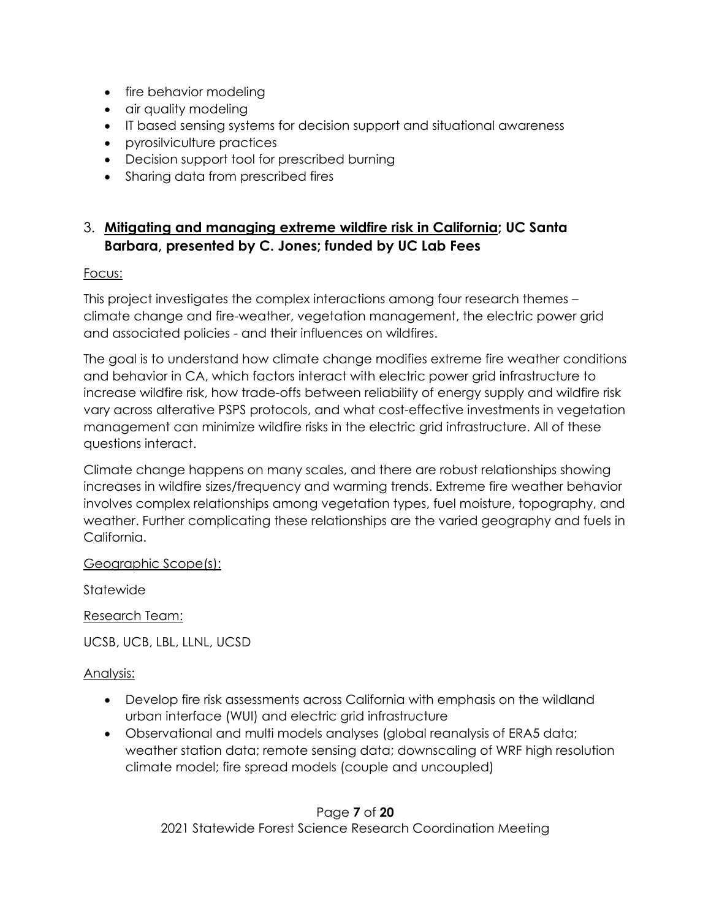- fire behavior modeling
- air quality modeling
- IT based sensing systems for decision support and situational awareness
- pyrosilviculture practices
- Decision support tool for prescribed burning
- Sharing data from prescribed fires

# 3. **Mitigating and managing extreme wildfire risk in California; UC Santa Barbara, presented by C. Jones; funded by UC Lab Fees**

### Focus:

This project investigates the complex interactions among four research themes – climate change and fire-weather, vegetation management, the electric power grid and associated policies - and their influences on wildfires.

The goal is to understand how climate change modifies extreme fire weather conditions and behavior in CA, which factors interact with electric power grid infrastructure to increase wildfire risk, how trade-offs between reliability of energy supply and wildfire risk vary across alterative PSPS protocols, and what cost-effective investments in vegetation management can minimize wildfire risks in the electric grid infrastructure. All of these questions interact.

Climate change happens on many scales, and there are robust relationships showing increases in wildfire sizes/frequency and warming trends. Extreme fire weather behavior involves complex relationships among vegetation types, fuel moisture, topography, and weather. Further complicating these relationships are the varied geography and fuels in California.

#### Geographic Scope(s):

Statewide

Research Team:

UCSB, UCB, LBL, LLNL, UCSD

# Analysis:

- Develop fire risk assessments across California with emphasis on the wildland urban interface (WUI) and electric grid infrastructure
- Observational and multi models analyses (global reanalysis of ERA5 data; weather station data; remote sensing data; downscaling of WRF high resolution climate model; fire spread models (couple and uncoupled)

Page **7** of **20** 2021 Statewide Forest Science Research Coordination Meeting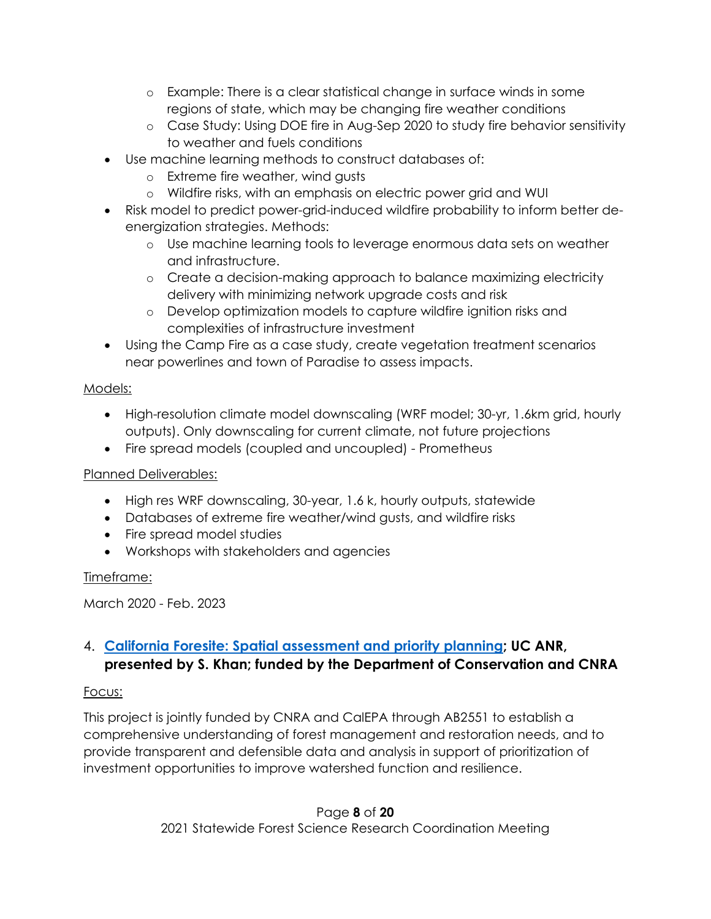- o Example: There is a clear statistical change in surface winds in some regions of state, which may be changing fire weather conditions
- o Case Study: Using DOE fire in Aug-Sep 2020 to study fire behavior sensitivity to weather and fuels conditions
- Use machine learning methods to construct databases of:
	- o Extreme fire weather, wind gusts
	- o Wildfire risks, with an emphasis on electric power grid and WUI
- Risk model to predict power-grid-induced wildfire probability to inform better deenergization strategies. Methods:
	- o Use machine learning tools to leverage enormous data sets on weather and infrastructure.
	- o Create a decision-making approach to balance maximizing electricity delivery with minimizing network upgrade costs and risk
	- o Develop optimization models to capture wildfire ignition risks and complexities of infrastructure investment
- Using the Camp Fire as a case study, create vegetation treatment scenarios near powerlines and town of Paradise to assess impacts.

### Models:

- High-resolution climate model downscaling (WRF model; 30-yr, 1.6km grid, hourly outputs). Only downscaling for current climate, not future projections
- Fire spread models (coupled and uncoupled) Prometheus

# Planned Deliverables:

- High res WRF downscaling, 30-year, 1.6 k, hourly outputs, statewide
- Databases of extreme fire weather/wind gusts, and wildfire risks
- Fire spread model studies
- Workshops with stakeholders and agencies

# Timeframe:

March 2020 - Feb. 2023

# 4. **[California Foresite: Spatial assessment and priority planning;](https://resources.ca.gov/-/media/CNRA-Website/Files/Initiatives/Forest-Stewardship/3020-300-AB-2551-Spatial-Analysis-and-Priority-Planning.pdf?la=en&hash=EBE166BC9A0A48D51D4053041AF57FC56CDC2A96) UC ANR, presented by S. Khan; funded by the Department of Conservation and CNRA**

# Focus:

This project is jointly funded by CNRA and CalEPA through AB2551 to establish a comprehensive understanding of forest management and restoration needs, and to provide transparent and defensible data and analysis in support of prioritization of investment opportunities to improve watershed function and resilience.

> Page **8** of **20** 2021 Statewide Forest Science Research Coordination Meeting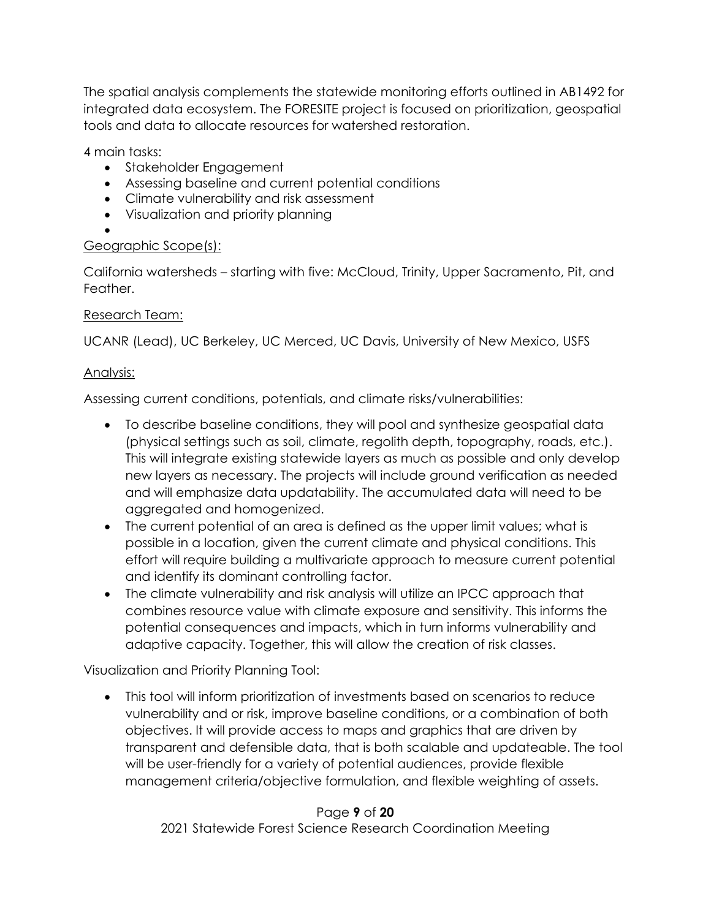The spatial analysis complements the statewide monitoring efforts outlined in AB1492 for integrated data ecosystem. The FORESITE project is focused on prioritization, geospatial tools and data to allocate resources for watershed restoration.

4 main tasks:

- Stakeholder Engagement
- Assessing baseline and current potential conditions
- Climate vulnerability and risk assessment
- Visualization and priority planning

#### • Geographic Scope(s):

California watersheds – starting with five: McCloud, Trinity, Upper Sacramento, Pit, and Feather.

# Research Team:

UCANR (Lead), UC Berkeley, UC Merced, UC Davis, University of New Mexico, USFS

# Analysis:

Assessing current conditions, potentials, and climate risks/vulnerabilities:

- To describe baseline conditions, they will pool and synthesize geospatial data (physical settings such as soil, climate, regolith depth, topography, roads, etc.). This will integrate existing statewide layers as much as possible and only develop new layers as necessary. The projects will include ground verification as needed and will emphasize data updatability. The accumulated data will need to be aggregated and homogenized.
- The current potential of an area is defined as the upper limit values; what is possible in a location, given the current climate and physical conditions. This effort will require building a multivariate approach to measure current potential and identify its dominant controlling factor.
- The climate vulnerability and risk analysis will utilize an IPCC approach that combines resource value with climate exposure and sensitivity. This informs the potential consequences and impacts, which in turn informs vulnerability and adaptive capacity. Together, this will allow the creation of risk classes.

Visualization and Priority Planning Tool:

• This tool will inform prioritization of investments based on scenarios to reduce vulnerability and or risk, improve baseline conditions, or a combination of both objectives. It will provide access to maps and graphics that are driven by transparent and defensible data, that is both scalable and updateable. The tool will be user-friendly for a variety of potential audiences, provide flexible management criteria/objective formulation, and flexible weighting of assets.

# Page **9** of **20**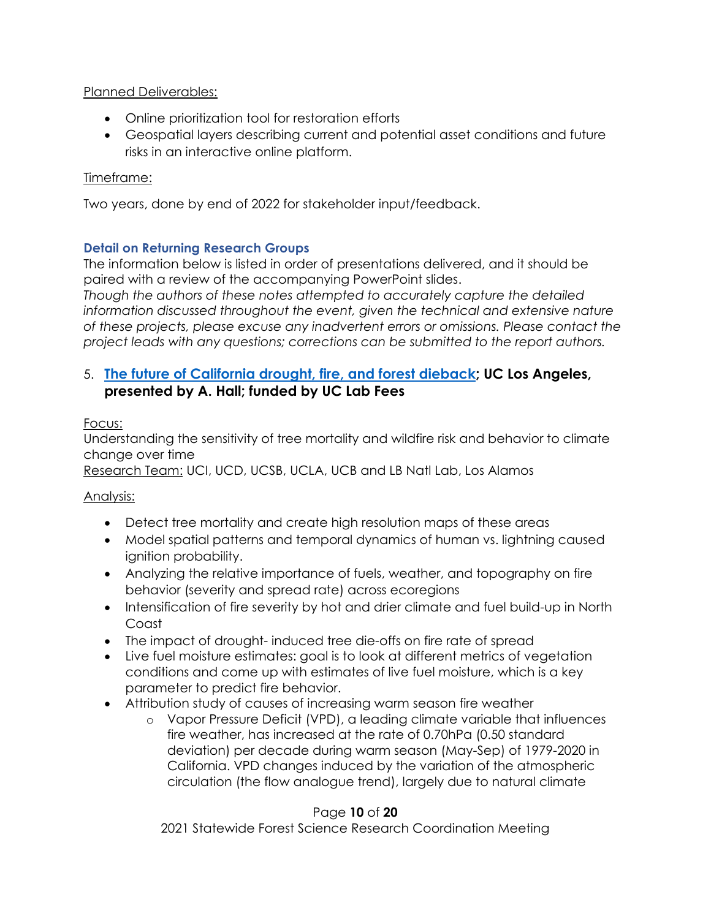Planned Deliverables:

- Online prioritization tool for restoration efforts
- Geospatial layers describing current and potential asset conditions and future risks in an interactive online platform.

### Timeframe:

Two years, done by end of 2022 for stakeholder input/feedback.

### <span id="page-9-0"></span>**Detail on Returning Research Groups**

The information below is listed in order of presentations delivered, and it should be paired with a review of the accompanying PowerPoint slides.

*Though the authors of these notes attempted to accurately capture the detailed information discussed throughout the event, given the technical and extensive nature of these projects, please excuse any inadvertent errors or omissions. Please contact the project leads with any questions; corrections can be submitted to the report authors.*

# 5. **[The future of California drought, fire, and forest dieback;](https://www.ioes.ucla.edu/project/future-california-drought-fire-forest-dieback/) UC Los Angeles, presented by A. Hall; funded by UC Lab Fees**

Focus:

Understanding the sensitivity of tree mortality and wildfire risk and behavior to climate change over time

Research Team: UCI, UCD, UCSB, UCLA, UCB and LB Natl Lab, Los Alamos

# Analysis:

- Detect tree mortality and create high resolution maps of these areas
- Model spatial patterns and temporal dynamics of human vs. lightning caused ignition probability.
- Analyzing the relative importance of fuels, weather, and topography on fire behavior (severity and spread rate) across ecoregions
- Intensification of fire severity by hot and drier climate and fuel build-up in North Coast
- The impact of drought-induced tree die-offs on fire rate of spread
- Live fuel moisture estimates: goal is to look at different metrics of vegetation conditions and come up with estimates of live fuel moisture, which is a key parameter to predict fire behavior.
- Attribution study of causes of increasing warm season fire weather
	- o Vapor Pressure Deficit (VPD), a leading climate variable that influences fire weather, has increased at the rate of 0.70hPa (0.50 standard deviation) per decade during warm season (May-Sep) of 1979-2020 in California. VPD changes induced by the variation of the atmospheric circulation (the flow analogue trend), largely due to natural climate

# Page **10** of **20**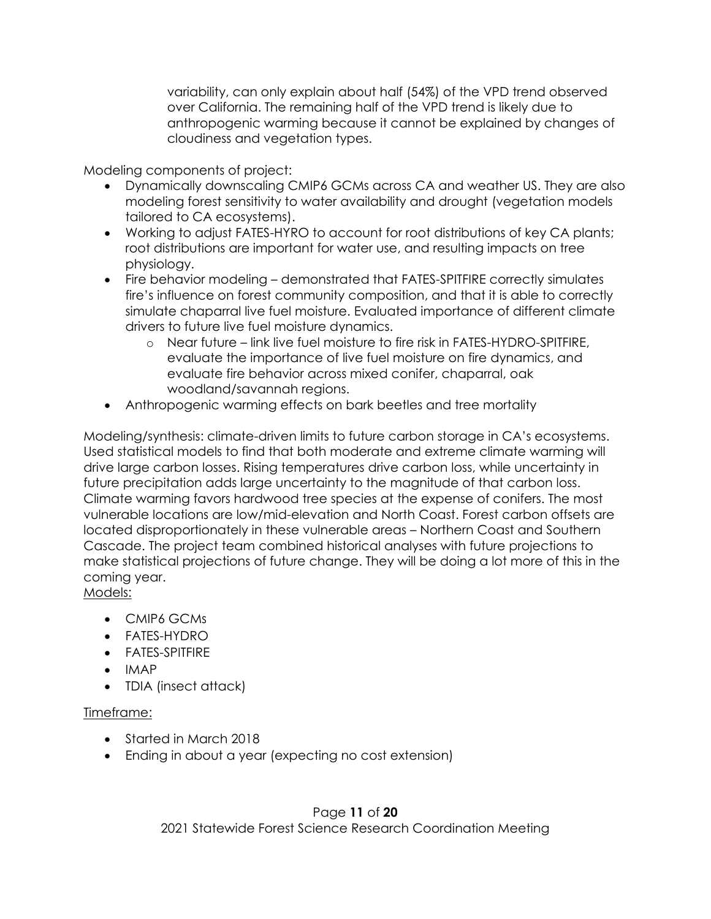variability, can only explain about half (54%) of the VPD trend observed over California. The remaining half of the VPD trend is likely due to anthropogenic warming because it cannot be explained by changes of cloudiness and vegetation types.

Modeling components of project:

- Dynamically downscaling CMIP6 GCMs across CA and weather US. They are also modeling forest sensitivity to water availability and drought (vegetation models tailored to CA ecosystems).
- Working to adjust FATES-HYRO to account for root distributions of key CA plants; root distributions are important for water use, and resulting impacts on tree physiology.
- Fire behavior modeling demonstrated that FATES-SPITFIRE correctly simulates fire's influence on forest community composition, and that it is able to correctly simulate chaparral live fuel moisture. Evaluated importance of different climate drivers to future live fuel moisture dynamics.
	- o Near future link live fuel moisture to fire risk in FATES-HYDRO-SPITFIRE, evaluate the importance of live fuel moisture on fire dynamics, and evaluate fire behavior across mixed conifer, chaparral, oak woodland/savannah regions.
- Anthropogenic warming effects on bark beetles and tree mortality

Modeling/synthesis: climate-driven limits to future carbon storage in CA's ecosystems. Used statistical models to find that both moderate and extreme climate warming will drive large carbon losses. Rising temperatures drive carbon loss, while uncertainty in future precipitation adds large uncertainty to the magnitude of that carbon loss. Climate warming favors hardwood tree species at the expense of conifers. The most vulnerable locations are low/mid-elevation and North Coast. Forest carbon offsets are located disproportionately in these vulnerable areas – Northern Coast and Southern Cascade. The project team combined historical analyses with future projections to make statistical projections of future change. They will be doing a lot more of this in the coming year.

Models:

- CMIP6 GCMs
- FATES-HYDRO
- FATES-SPITFIRE
- IMAP
- TDIA (insect attack)

#### Timeframe:

- Started in March 2018
- Ending in about a year (expecting no cost extension)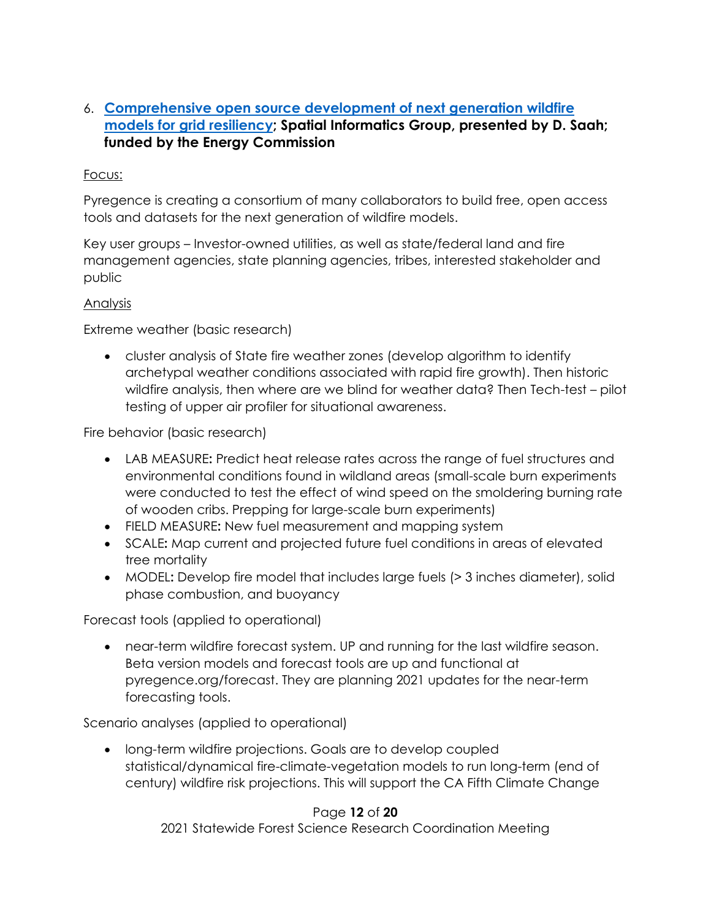# 6. **[Comprehensive open source development of next generation wildfire](https://pyregence.org/)  [models for grid resiliency;](https://pyregence.org/) Spatial Informatics Group, presented by D. Saah; funded by the Energy Commission**

#### Focus:

Pyregence is creating a consortium of many collaborators to build free, open access tools and datasets for the next generation of wildfire models.

Key user groups – Investor-owned utilities, as well as state/federal land and fire management agencies, state planning agencies, tribes, interested stakeholder and public

#### Analysis

Extreme weather (basic research)

• cluster analysis of State fire weather zones (develop algorithm to identify archetypal weather conditions associated with rapid fire growth). Then historic wildfire analysis, then where are we blind for weather data? Then Tech-test – pilot testing of upper air profiler for situational awareness.

Fire behavior (basic research)

- LAB MEASURE**:** Predict heat release rates across the range of fuel structures and environmental conditions found in wildland areas (small-scale burn experiments were conducted to test the effect of wind speed on the smoldering burning rate of wooden cribs. Prepping for large-scale burn experiments)
- FIELD MEASURE**:** New fuel measurement and mapping system
- SCALE**:** Map current and projected future fuel conditions in areas of elevated tree mortality
- MODEL**:** Develop fire model that includes large fuels (> 3 inches diameter), solid phase combustion, and buoyancy

Forecast tools (applied to operational)

• near-term wildfire forecast system. UP and running for the last wildfire season. Beta version models and forecast tools are up and functional at pyregence.org/forecast. They are planning 2021 updates for the near-term forecasting tools.

Scenario analyses (applied to operational)

• long-term wildfire projections. Goals are to develop coupled statistical/dynamical fire-climate-vegetation models to run long-term (end of century) wildfire risk projections. This will support the CA Fifth Climate Change

#### Page **12** of **20**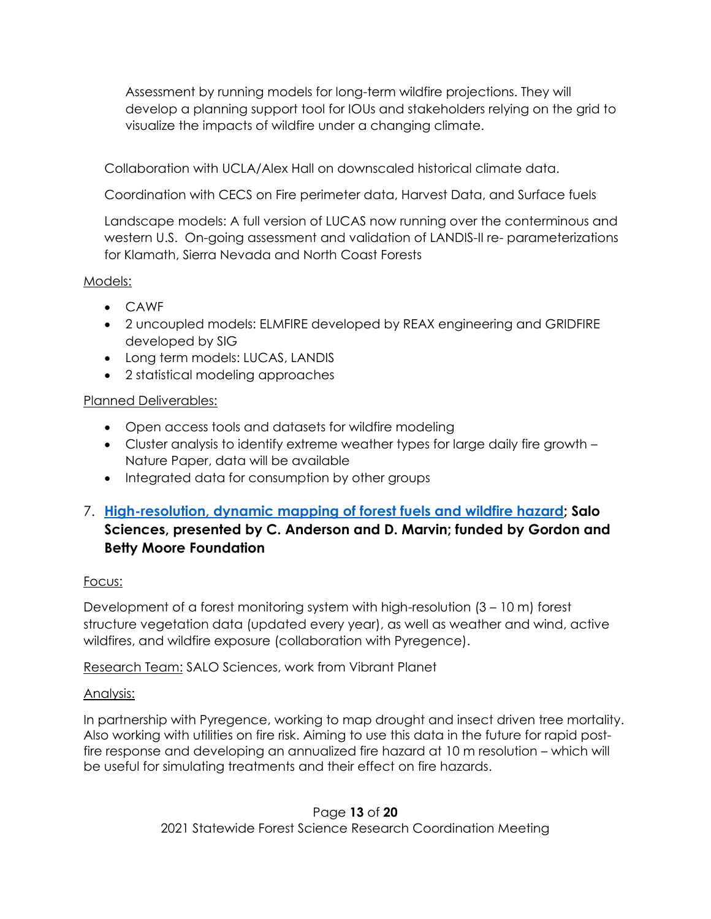Assessment by running models for long-term wildfire projections. They will develop a planning support tool for IOUs and stakeholders relying on the grid to visualize the impacts of wildfire under a changing climate.

Collaboration with UCLA/Alex Hall on downscaled historical climate data.

Coordination with CECS on Fire perimeter data, Harvest Data, and Surface fuels

Landscape models: A full version of LUCAS now running over the conterminous and western U.S. On-going assessment and validation of LANDIS-II re- parameterizations for Klamath, Sierra Nevada and North Coast Forests

#### Models:

- CAWF
- 2 uncoupled models: ELMFIRE developed by REAX engineering and GRIDFIRE developed by SIG
- Long term models: LUCAS, LANDIS
- 2 statistical modeling approaches

#### Planned Deliverables:

- Open access tools and datasets for wildfire modeling
- Cluster analysis to identify extreme weather types for large daily fire growth Nature Paper, data will be available
- Integrated data for consumption by other groups
- 7. **[High-resolution, dynamic mapping of forest fuels and wildfire hazard;](https://salo.ai/) Salo Sciences, presented by C. Anderson and D. Marvin; funded by Gordon and Betty Moore Foundation**

#### Focus:

Development of a forest monitoring system with high-resolution (3 – 10 m) forest structure vegetation data (updated every year), as well as weather and wind, active wildfires, and wildfire exposure (collaboration with Pyregence).

Research Team: SALO Sciences, work from Vibrant Planet

#### Analysis:

In partnership with Pyregence, working to map drought and insect driven tree mortality. Also working with utilities on fire risk. Aiming to use this data in the future for rapid postfire response and developing an annualized fire hazard at 10 m resolution – which will be useful for simulating treatments and their effect on fire hazards.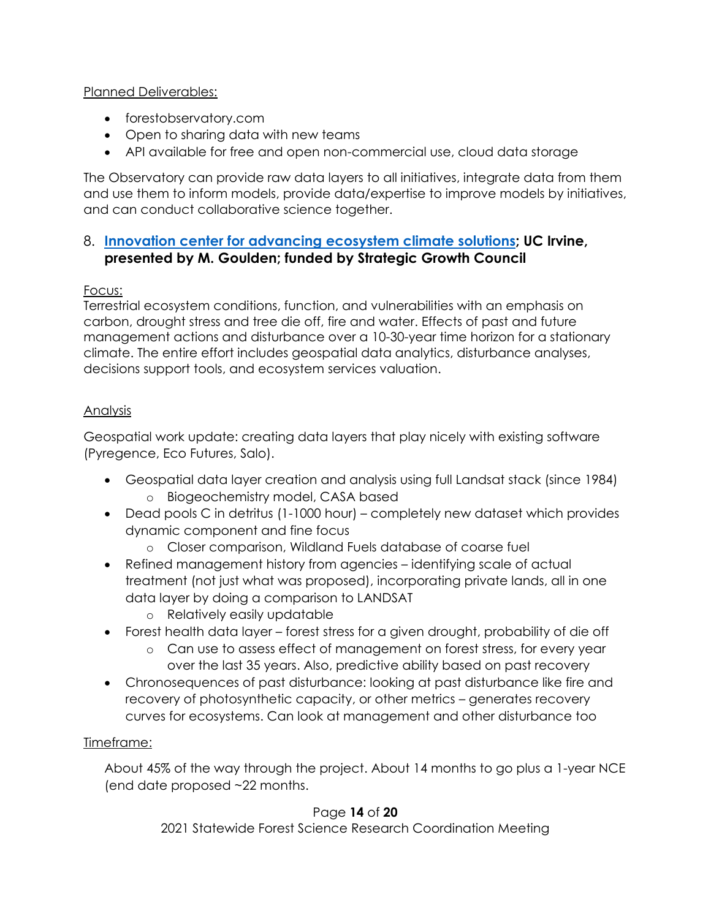#### Planned Deliverables:

- forestobservatory.com
- Open to sharing data with new teams
- API available for free and open non-commercial use, cloud data storage

The Observatory can provide raw data layers to all initiatives, integrate data from them and use them to inform models, provide data/expertise to improve models by initiatives, and can conduct collaborative science together.

# 8. **[Innovation center for advancing ecosystem climate solutions;](https://california-ecosystem-climate.solutions/) UC Irvine, presented by M. Goulden; funded by Strategic Growth Council**

# Focus:

Terrestrial ecosystem conditions, function, and vulnerabilities with an emphasis on carbon, drought stress and tree die off, fire and water. Effects of past and future management actions and disturbance over a 10-30-year time horizon for a stationary climate. The entire effort includes geospatial data analytics, disturbance analyses, decisions support tools, and ecosystem services valuation.

# Analysis

Geospatial work update: creating data layers that play nicely with existing software (Pyregence, Eco Futures, Salo).

- Geospatial data layer creation and analysis using full Landsat stack (since 1984) o Biogeochemistry model, CASA based
- Dead pools C in detritus (1-1000 hour) completely new dataset which provides dynamic component and fine focus
	- o Closer comparison, Wildland Fuels database of coarse fuel
- Refined management history from agencies identifying scale of actual treatment (not just what was proposed), incorporating private lands, all in one data layer by doing a comparison to LANDSAT
	- o Relatively easily updatable
- Forest health data layer forest stress for a given drought, probability of die off
	- o Can use to assess effect of management on forest stress, for every year over the last 35 years. Also, predictive ability based on past recovery
- Chronosequences of past disturbance: looking at past disturbance like fire and recovery of photosynthetic capacity, or other metrics – generates recovery curves for ecosystems. Can look at management and other disturbance too

# Timeframe:

About 45% of the way through the project. About 14 months to go plus a 1-year NCE (end date proposed ~22 months.

# Page **14** of **20**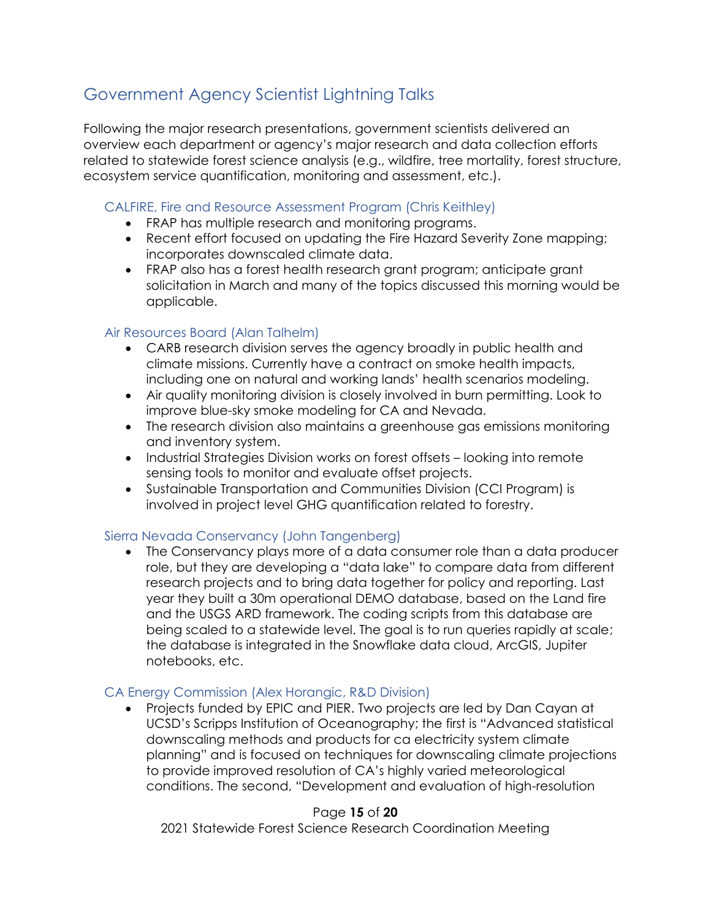# <span id="page-14-0"></span>Government Agency Scientist Lightning Talks

Following the major research presentations, government scientists delivered an overview each department or agency's major research and data collection efforts related to statewide forest science analysis (e.g., wildfire, tree mortality, forest structure, ecosystem service quantification, monitoring and assessment, etc.).

#### CALFIRE, Fire and Resource Assessment Program (Chris Keithley)

- FRAP has multiple research and monitoring programs.
- Recent effort focused on updating the Fire Hazard Severity Zone mapping; incorporates downscaled climate data.
- FRAP also has a forest health research grant program; anticipate grant solicitation in March and many of the topics discussed this morning would be applicable.

#### Air Resources Board (Alan Talhelm)

- CARB research division serves the agency broadly in public health and climate missions. Currently have a contract on smoke health impacts, including one on natural and working lands' health scenarios modeling.
- Air quality monitoring division is closely involved in burn permitting. Look to improve blue-sky smoke modeling for CA and Nevada.
- The research division also maintains a greenhouse gas emissions monitoring and inventory system.
- Industrial Strategies Division works on forest offsets looking into remote sensing tools to monitor and evaluate offset projects.
- Sustainable Transportation and Communities Division (CCI Program) is involved in project level GHG quantification related to forestry.

#### Sierra Nevada Conservancy (John Tangenberg)

• The Conservancy plays more of a data consumer role than a data producer role, but they are developing a "data lake" to compare data from different research projects and to bring data together for policy and reporting. Last year they built a 30m operational DEMO database, based on the Land fire and the USGS ARD framework. The coding scripts from this database are being scaled to a statewide level. The goal is to run queries rapidly at scale; the database is integrated in the Snowflake data cloud, ArcGIS, Jupiter notebooks, etc.

#### CA Energy Commission (Alex Horangic, R&D Division)

• Projects funded by EPIC and PIER. Two projects are led by Dan Cayan at UCSD's Scripps Institution of Oceanography; the first is "Advanced statistical downscaling methods and products for ca electricity system climate planning" and is focused on techniques for downscaling climate projections to provide improved resolution of CA's highly varied meteorological conditions. The second, "Development and evaluation of high-resolution

#### Page **15** of **20**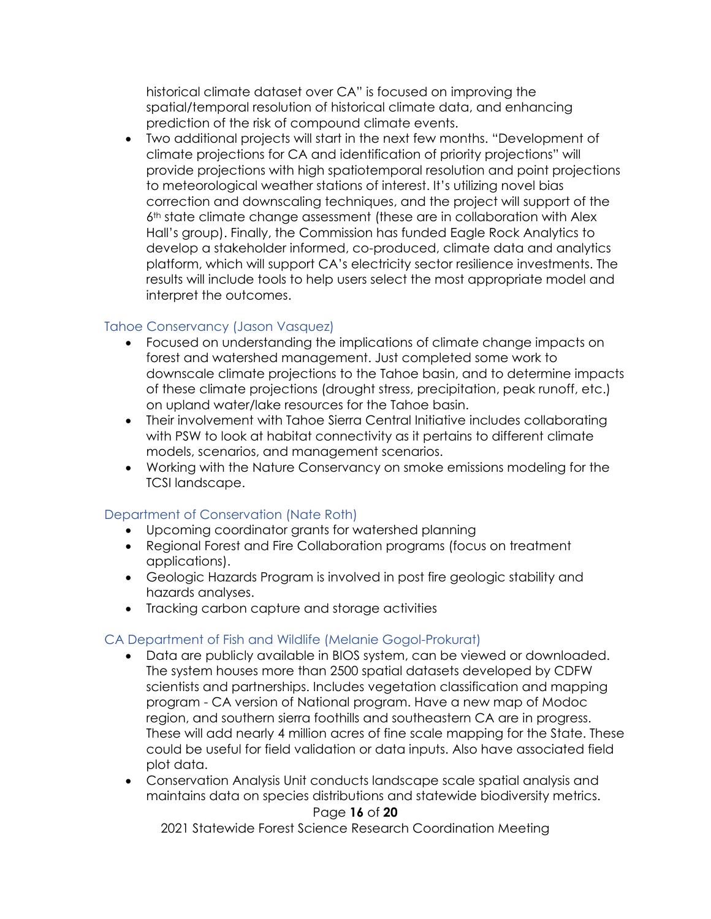historical climate dataset over CA" is focused on improving the spatial/temporal resolution of historical climate data, and enhancing prediction of the risk of compound climate events.

• Two additional projects will start in the next few months. "Development of climate projections for CA and identification of priority projections" will provide projections with high spatiotemporal resolution and point projections to meteorological weather stations of interest. It's utilizing novel bias correction and downscaling techniques, and the project will support of the  $6<sup>th</sup>$  state climate change assessment (these are in collaboration with Alex Hall's group). Finally, the Commission has funded Eagle Rock Analytics to develop a stakeholder informed, co-produced, climate data and analytics platform, which will support CA's electricity sector resilience investments. The results will include tools to help users select the most appropriate model and interpret the outcomes.

#### Tahoe Conservancy (Jason Vasquez)

- Focused on understanding the implications of climate change impacts on forest and watershed management. Just completed some work to downscale climate projections to the Tahoe basin, and to determine impacts of these climate projections (drought stress, precipitation, peak runoff, etc.) on upland water/lake resources for the Tahoe basin.
- Their involvement with Tahoe Sierra Central Initiative includes collaborating with PSW to look at habitat connectivity as it pertains to different climate models, scenarios, and management scenarios.
- Working with the Nature Conservancy on smoke emissions modeling for the TCSI landscape.

#### Department of Conservation (Nate Roth)

- Upcoming coordinator grants for watershed planning
- Regional Forest and Fire Collaboration programs (focus on treatment applications).
- Geologic Hazards Program is involved in post fire geologic stability and hazards analyses.
- Tracking carbon capture and storage activities

#### CA Department of Fish and Wildlife (Melanie Gogol-Prokurat)

- Data are publicly available in BIOS system, can be viewed or downloaded. The system houses more than 2500 spatial datasets developed by CDFW scientists and partnerships. Includes vegetation classification and mapping program - CA version of National program. Have a new map of Modoc region, and southern sierra foothills and southeastern CA are in progress. These will add nearly 4 million acres of fine scale mapping for the State. These could be useful for field validation or data inputs. Also have associated field plot data.
- Conservation Analysis Unit conducts landscape scale spatial analysis and maintains data on species distributions and statewide biodiversity metrics.

#### Page **16** of **20**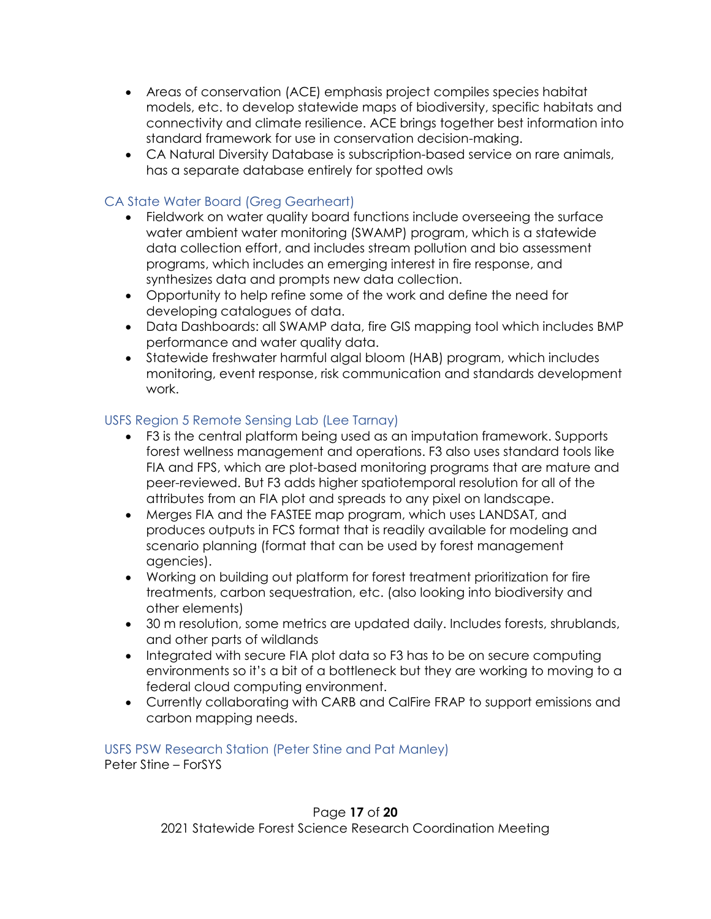- Areas of conservation (ACE) emphasis project compiles species habitat models, etc. to develop statewide maps of biodiversity, specific habitats and connectivity and climate resilience. ACE brings together best information into standard framework for use in conservation decision-making.
- CA Natural Diversity Database is subscription-based service on rare animals, has a separate database entirely for spotted owls

# CA State Water Board (Greg Gearheart)

- Fieldwork on water quality board functions include overseeing the surface water ambient water monitoring (SWAMP) program, which is a statewide data collection effort, and includes stream pollution and bio assessment programs, which includes an emerging interest in fire response, and synthesizes data and prompts new data collection.
- Opportunity to help refine some of the work and define the need for developing catalogues of data.
- Data Dashboards: all SWAMP data, fire GIS mapping tool which includes BMP performance and water quality data.
- Statewide freshwater harmful algal bloom (HAB) program, which includes monitoring, event response, risk communication and standards development work.

#### USFS Region 5 Remote Sensing Lab (Lee Tarnay)

- F3 is the central platform being used as an imputation framework. Supports forest wellness management and operations. F3 also uses standard tools like FIA and FPS, which are plot-based monitoring programs that are mature and peer-reviewed. But F3 adds higher spatiotemporal resolution for all of the attributes from an FIA plot and spreads to any pixel on landscape.
- Merges FIA and the FASTEE map program, which uses LANDSAT, and produces outputs in FCS format that is readily available for modeling and scenario planning (format that can be used by forest management agencies).
- Working on building out platform for forest treatment prioritization for fire treatments, carbon sequestration, etc. (also looking into biodiversity and other elements)
- 30 m resolution, some metrics are updated daily. Includes forests, shrublands, and other parts of wildlands
- Integrated with secure FIA plot data so F3 has to be on secure computing environments so it's a bit of a bottleneck but they are working to moving to a federal cloud computing environment.
- Currently collaborating with CARB and CalFire FRAP to support emissions and carbon mapping needs.

USFS PSW Research Station (Peter Stine and Pat Manley) Peter Stine – ForSYS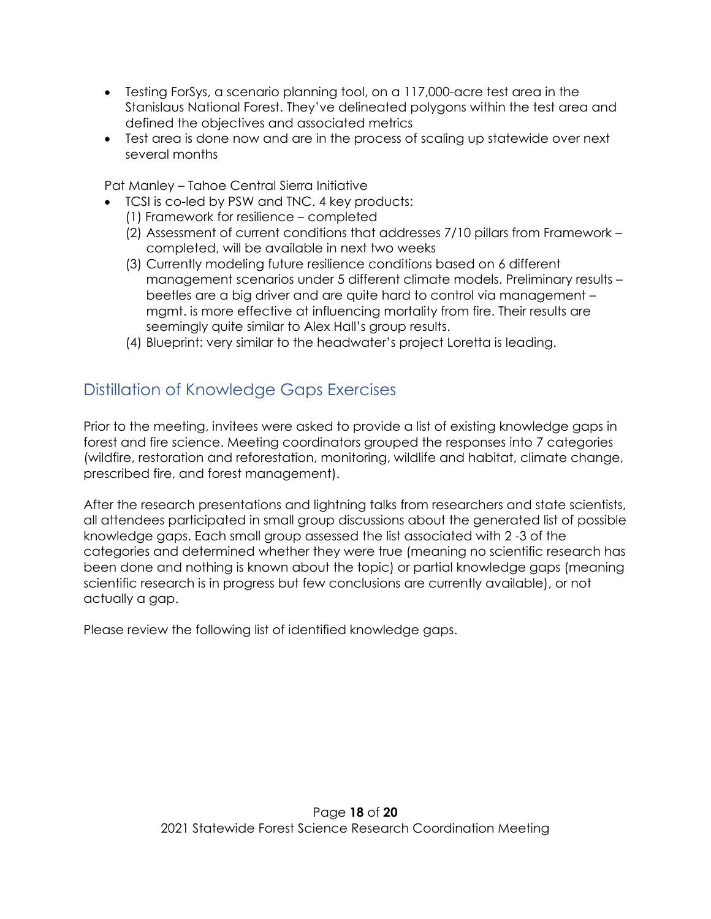- Testing ForSys, a scenario planning tool, on a 117,000-acre test area in the Stanislaus National Forest. They've delineated polygons within the test area and defined the objectives and associated metrics
- Test area is done now and are in the process of scaling up statewide over next several months

Pat Manley – Tahoe Central Sierra Initiative

- TCSI is co-led by PSW and TNC. 4 key products:
	- (1) Framework for resilience completed
	- (2) Assessment of current conditions that addresses 7/10 pillars from Framework completed, will be available in next two weeks
	- (3) Currently modeling future resilience conditions based on 6 different management scenarios under 5 different climate models. Preliminary results – beetles are a big driver and are quite hard to control via management – mgmt. is more effective at influencing mortality from fire. Their results are seemingly quite similar to Alex Hall's group results.
	- (4) Blueprint: very similar to the headwater's project Loretta is leading.

# <span id="page-17-0"></span>Distillation of Knowledge Gaps Exercises

Prior to the meeting, invitees were asked to provide a list of existing knowledge gaps in forest and fire science. Meeting coordinators grouped the responses into 7 categories (wildfire, restoration and reforestation, monitoring, wildlife and habitat, climate change, prescribed fire, and forest management).

After the research presentations and lightning talks from researchers and state scientists, all attendees participated in small group discussions about the generated list of possible knowledge gaps. Each small group assessed the list associated with 2 -3 of the categories and determined whether they were true (meaning no scientific research has been done and nothing is known about the topic) or partial knowledge gaps (meaning scientific research is in progress but few conclusions are currently available), or not actually a gap.

Please review the following list of identified knowledge gaps.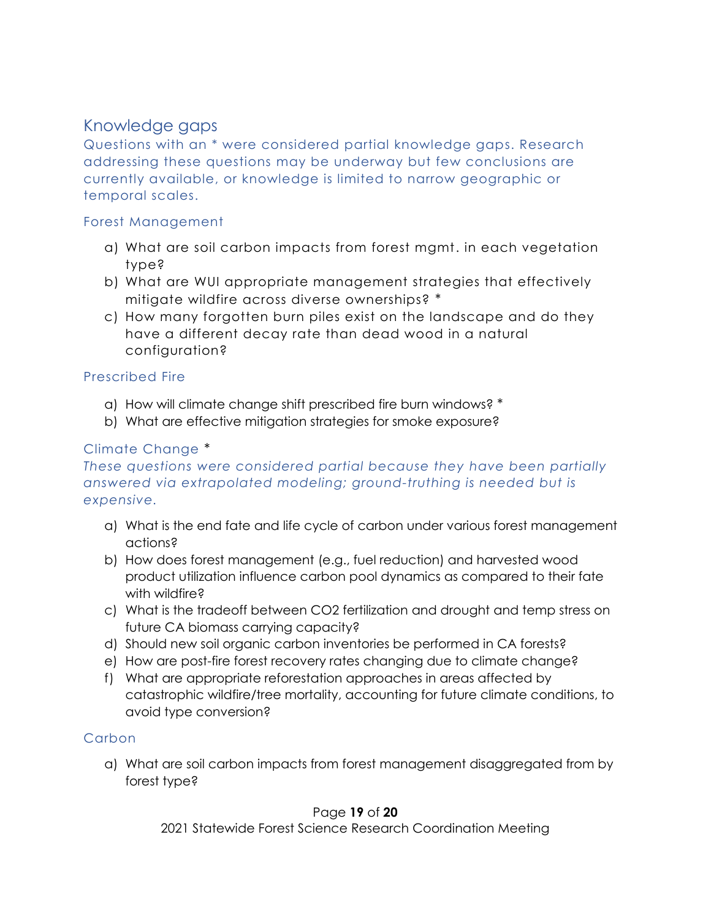# <span id="page-18-0"></span>Knowledge gaps

Questions with an \* were considered partial knowledge gaps. Research addressing these questions may be underway but few conclusions are currently available, or knowledge is limited to narrow geographic or temporal scales.

#### Forest Management

- a) What are soil carbon impacts from forest mgmt. in each vegetation type?
- b) What are WUI appropriate management strategies that effectively mitigate wildfire across diverse ownerships? \*
- c) How many forgotten burn piles exist on the landscape and do they have a different decay rate than dead wood in a natural configuration?

### Prescribed Fire

- a) How will climate change shift prescribed fire burn windows? \*
- b) What are effective mitigation strategies for smoke exposure?

# Climate Change \*

### *These questions were considered partial because they have been partially answered via extrapolated modeling; ground-truthing is needed but is expensive.*

- a) What is the end fate and life cycle of carbon under various forest management actions?
- b) How does forest management (e.g., fuel reduction) and harvested wood product utilization influence carbon pool dynamics as compared to their fate with wildfire?
- c) What is the tradeoff between CO2 fertilization and drought and temp stress on future CA biomass carrying capacity?
- d) Should new soil organic carbon inventories be performed in CA forests?
- e) How are post-fire forest recovery rates changing due to climate change?
- f) What are appropriate reforestation approaches in areas affected by catastrophic wildfire/tree mortality, accounting for future climate conditions, to avoid type conversion?

# Carbon

a) What are soil carbon impacts from forest management disaggregated from by forest type?

#### Page **19** of **20**